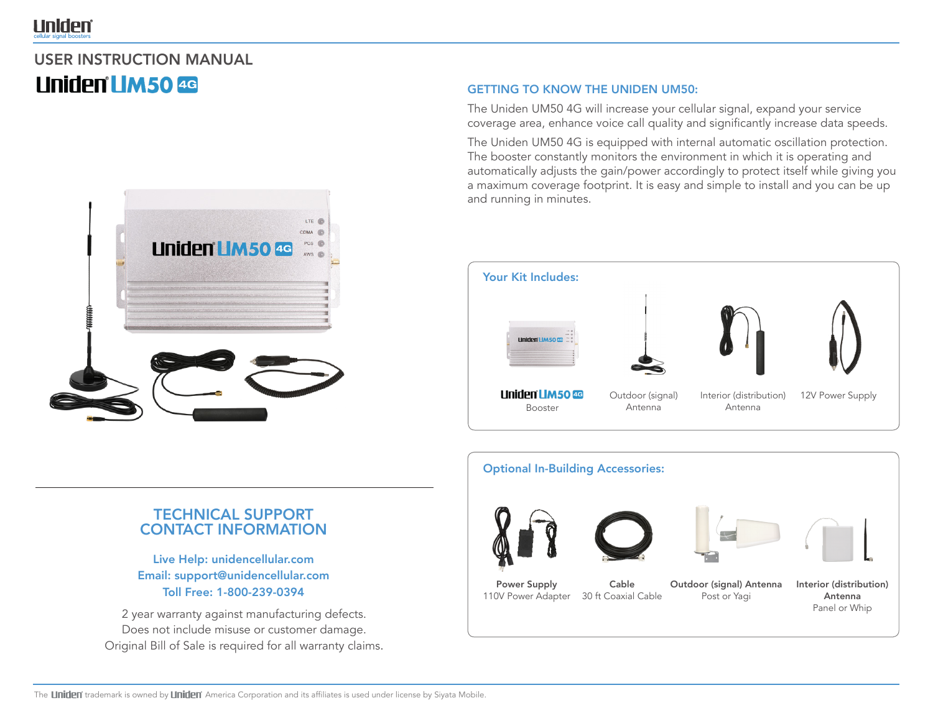# **Uniden**®

# USER INSTRUCTION MANUAL **Uniden LIM50 4G**



# TECHNICAL SUPPORT CONTACT INFORMATION

Live Help: unidencellular.com Email: support@unidencellular.com Toll Free: 1-800-239-0394

2 year warranty against manufacturing defects. Does not include misuse or customer damage. Original Bill of Sale is required for all warranty claims.

## GETTING TO KNOW THE UNIDEN UM50:

The Uniden UM50 4G will increase your cellular signal, expand your service coverage area, enhance voice call quality and significantly increase data speeds.

The Uniden UM50 4G is equipped with internal automatic oscillation protection. The booster constantly monitors the environment in which it is operating and automatically adjusts the gain/power accordingly to protect itself while giving you a maximum coverage footprint. It is easy and simple to install and you can be up and running in minutes.